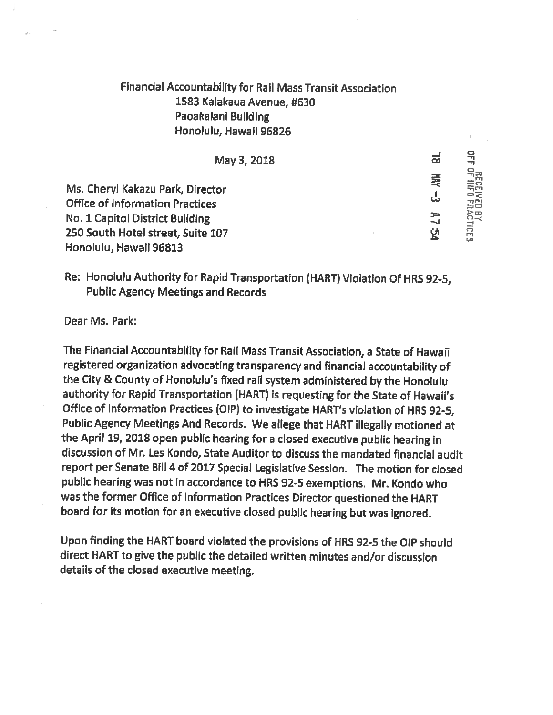## Financial Accountability for Rail Mass Transit Association 1583 Kalakaua Avenue, #630 Paoakalani Building Honolulu, Hawaii 96826

| May 3, 2018                                                                | ಹ       |                                     |
|----------------------------------------------------------------------------|---------|-------------------------------------|
| Ms. Cheryl Kakazu Park, Director<br><b>Office of Information Practices</b> | 曼<br>ىل | <b>GECEN</b><br>VECENT<br>ing<br>Du |
| No. 1 Capitol District Building                                            | ЯZ      | <b>BY<br/>ACTICES</b>               |
| 250 South Hotel street, Suite 107                                          | 放       |                                     |
| Honolulu, Hawaii 96813                                                     |         |                                     |

Re: Honolulu Authority for Rapid Transportation (HART) Violation Of HRS 92-5, Public Agency Meetings and Records

Dear Ms. Park:

The Financial Accountability for Rail Mass Transit Association, <sup>a</sup> State of Hawaii registered organization advocating transparency and financial accountability of the City & County of Honolulu's fixed rail system administered by the Honolulu authority for Rapid Transportation (HART) is requesting for the State of Hawaii's Office of Information Practices (OIP) to investigate HART's violation of HRS 92-5, Public Agency Meetings And Records. We allege that HART illegally motioned at the April 19, <sup>2018</sup> open public hearing for <sup>a</sup> closed executive public hearing in discussion of Mr. Les Kondo, State Auditor to discuss the mandated financial audit report per Senate Bill <sup>4</sup> of 2017 Special Legislative Session. The motion for closed public hearing was not in accordance to HRS 92-5 exemptions. Mr. Kondo who was the former Office of Information Practices Director questioned the HART board for its motion for an executive closed public hearing but was ignored.

Upon finding the HART board violated the provisions of HRS 92-5 the DIP should direct HART to give the public the detailed written minutes and/or discussion details of the closed executive meeting.